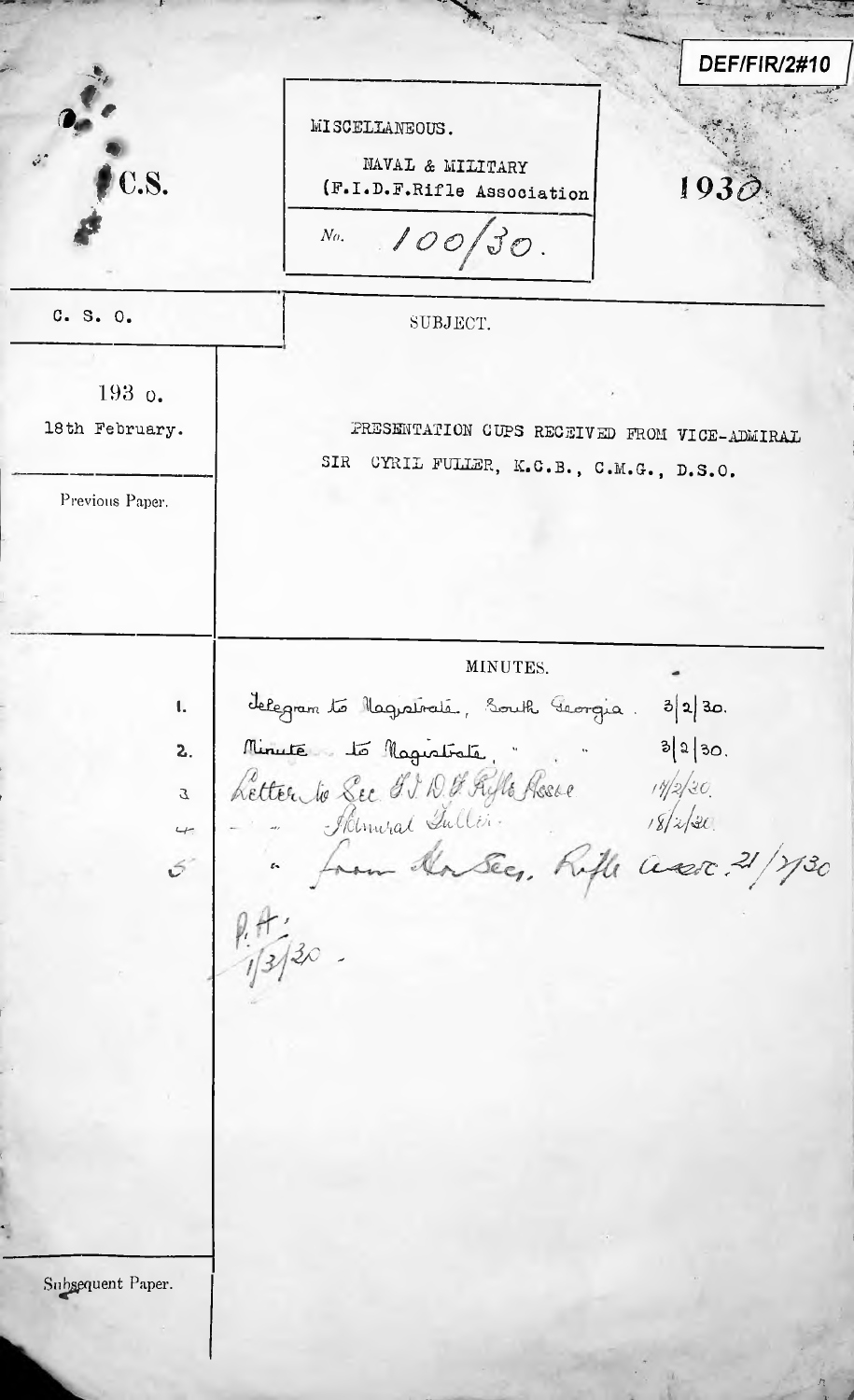**DEF/FIR/2#10** MISCELIANEOUS. NAVAL & MILITARY C.S. 1930 (F.I.D.F.Rifle Association  $100/30$ .  $N_{\theta}$ . C. S. O. SUBJECT. 193 o. PRESENTATION CUPS RECEIVED FROM VICE-ADMIRAL 18th February. SIR CYRIL FULLER, K.C.B., C.M.G., D.S.O. Previous Paper. MINUTES. delegram to Magnatraté, South Georgia. 3/2/30.  $\mathbf{L}$ Minute to Magistrite de l'est de la de la de la de la de la de la de la de la de la de la de la de la de la de la de la de la de la de la de la de la de la de la de la de la de la de la de la de la de la de la de la de la  $2.$  $\mathcal{I}$  $\leftarrow$  $\mathcal{L}$ Subsequent Paper.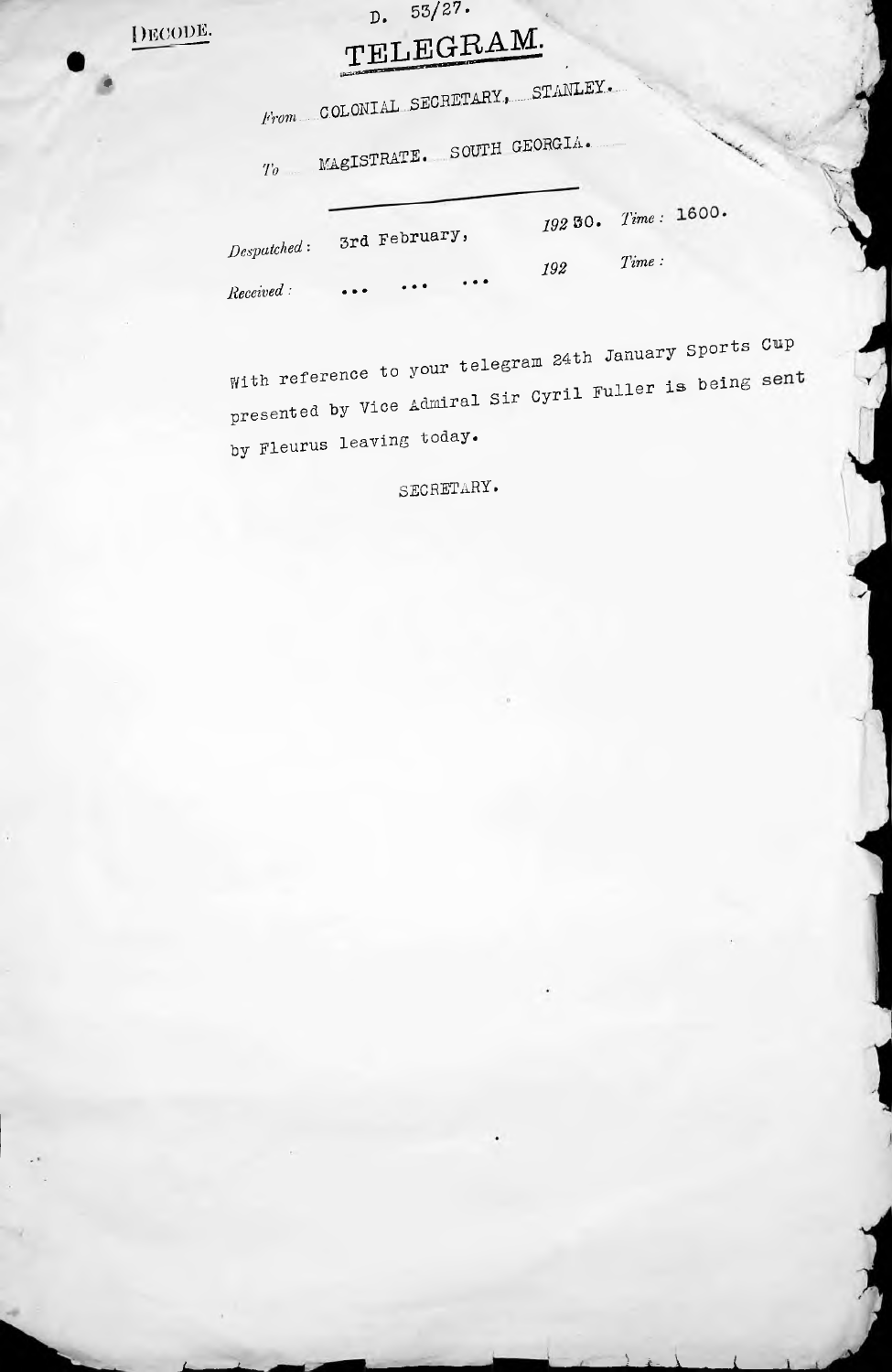| )ECODB.

## $D. 53/27.$ TELEGRAM.

|                          | From COLONIAL SECRETARY, STANLEY. |     |                     |  |
|--------------------------|-----------------------------------|-----|---------------------|--|
|                          | To MAGISTRATE. SOUTH GEORGIA.     |     |                     |  |
| Desputched:<br>Received: | 3rd February,                     |     | 192 50. Time: 1600. |  |
|                          | $\bullet$ $\bullet$               | 192 | Time:               |  |

With reference to your telegram 24th January Sports Cup <sub>presented</sub> by Vice Admiral Sir Cyril Fuller by Fleurus leaving today.

SECRETARY.

*) L* \* *<sup>L</sup>*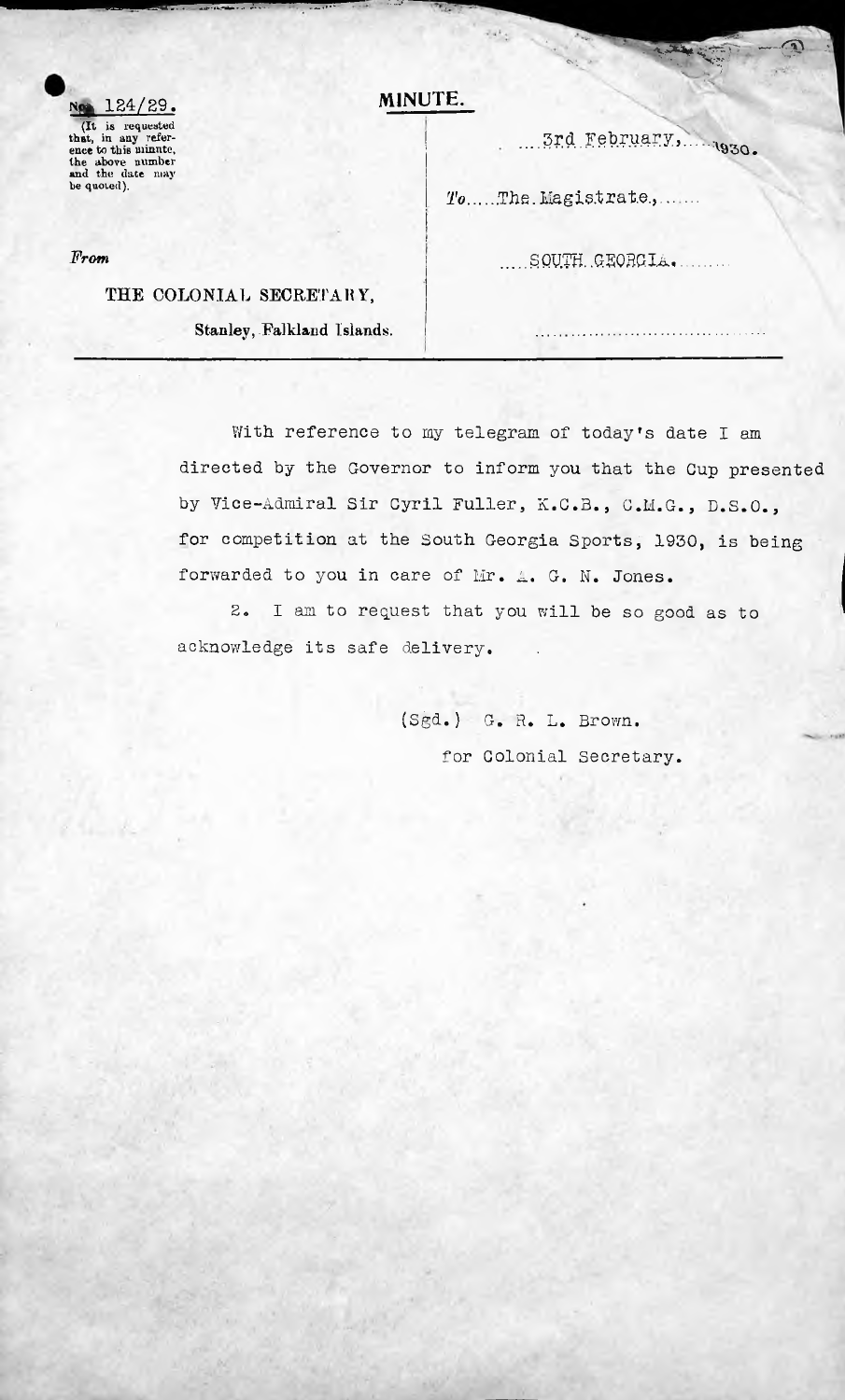(It is requested that, in any refer-ence fco this minnte, the above number and the date may be quoted).

## **No. MINUTE.** 124/29.

**The State** 

يابيد

X 3rd February,

 $\mathcal{L}^{\mathcal{A}}$ 

*To....The.Magistrate.......* 

*From* .....SOUm.GSQBGIA,

## THE COLONIAL SECRETARY,

.. *IKS'\*\**

Stanley, Falkland Islands.

With reference to my telegram of today's date I am directed by the Governor to inform you that the Cup presented by Vice-Admiral Sir Cyril Fuller, K.C.B., C.M.G., D.S.O., for competition at the South Georgia Sports, 1930, is being forwarded to you in care of Mr. A. G. N. Jones.

2. I am to request that you will be so good as to acknowledge its safe delivery.

> (Sgd.) G. R. L. Brown. for Colonial Secretary.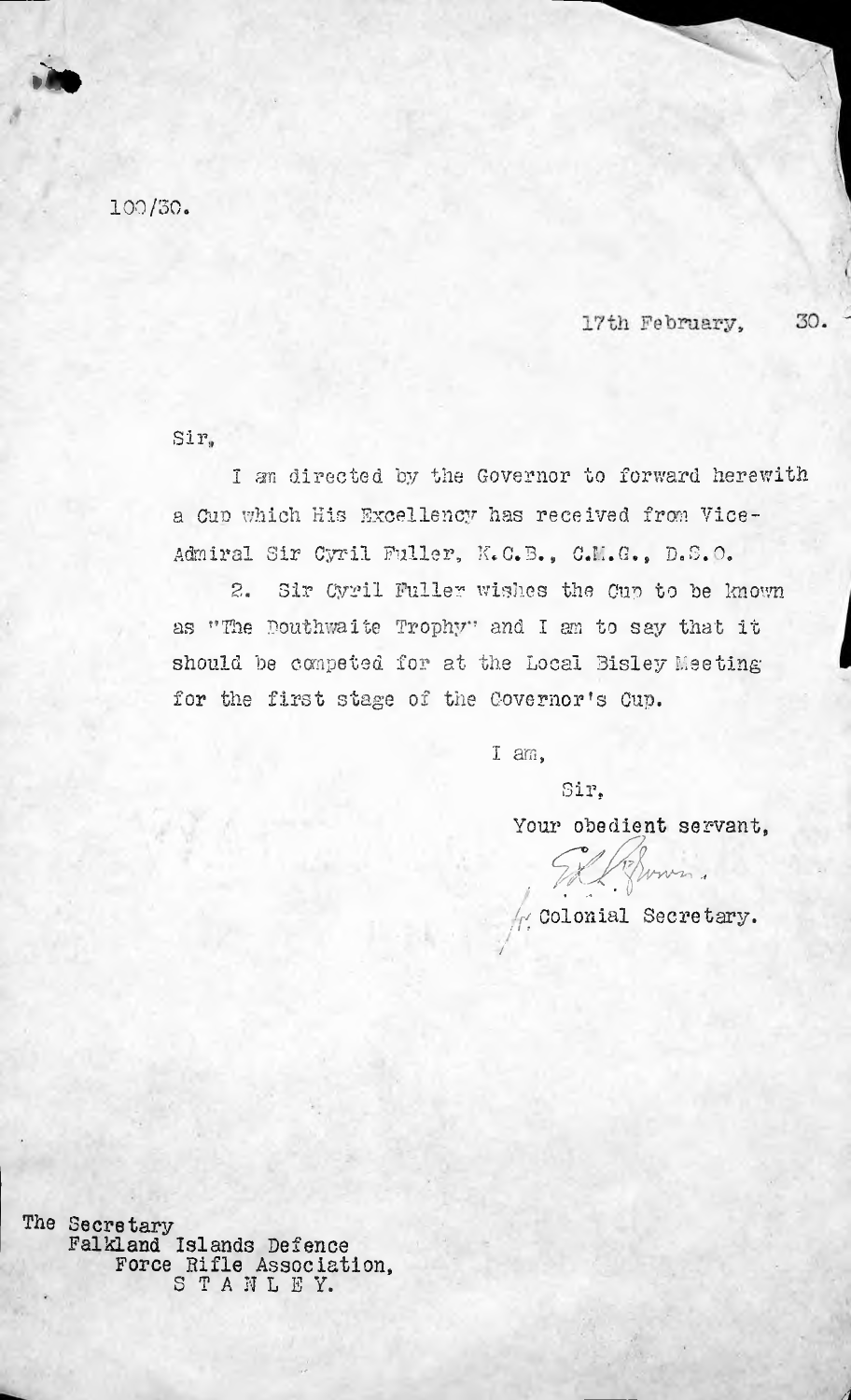100/30.

»\*»

17th February. 30.

Sir,

I an directed by the Governor to forward herewith a Gup which His Excellency has received from Vice-Admiral Sir Cyril Fuller, K.C.B., C.M.G., D.S.O.

Sir Cyril Fuller wishes the Cup to be known as "The Douthwalte Trophy" and <sup>I</sup> am to say that it should be competed for at the Local Sisley Meeting for the first stage of the Governor's Cup. 2.

I am,

/

Sir.

*f v*

Your obedient servant,

*(r1* Colonial Secretary. *t i <sup>f</sup>*

www.

*4*

The Secretary Falkland Islands Defence Force Rifle Association, S T A N L E Y.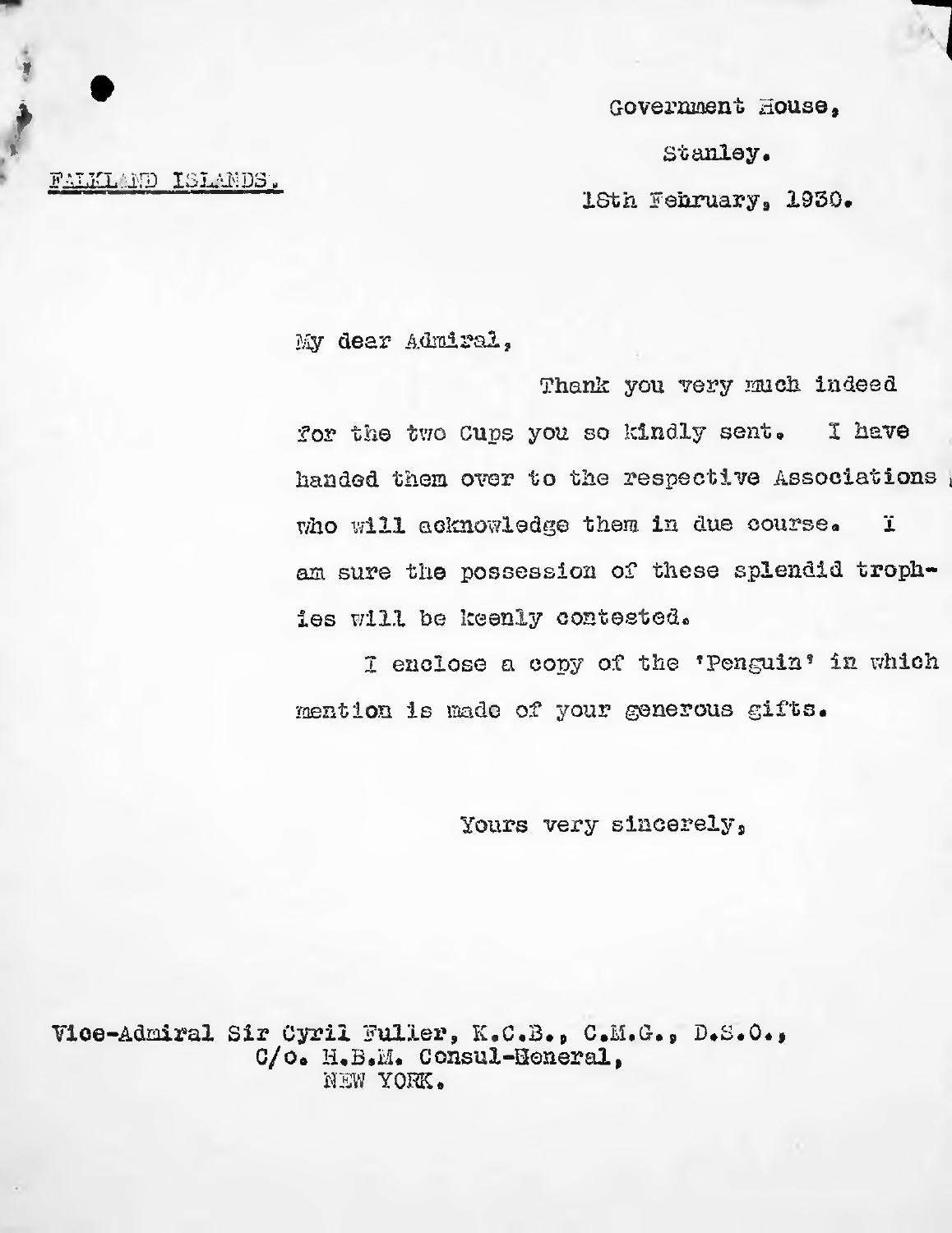Government House,

*x* Stanley.

ISth February, 1950.

FALKLAND ISLANDS.

*\**

*\**

 $\bullet$ 

My dear Admiral,

Thank you very much indeed for the two Cups you so kindly sent. handed them over to the respective Associations *\* who will acknowledge them in due course. am sure the possession of these splendid trophies will be keenly contested. 2 have *1*

I enclose <sup>a</sup> copy of the \*Penguin? in which mention is made of your generous gifts.

Yours very sincerely,

Vice-Admiral Sir Cyril Fuller, K.C.B., C.M.G., D.S.O., C/o. H.B.M. Consul-Heneral, NEW YORK.